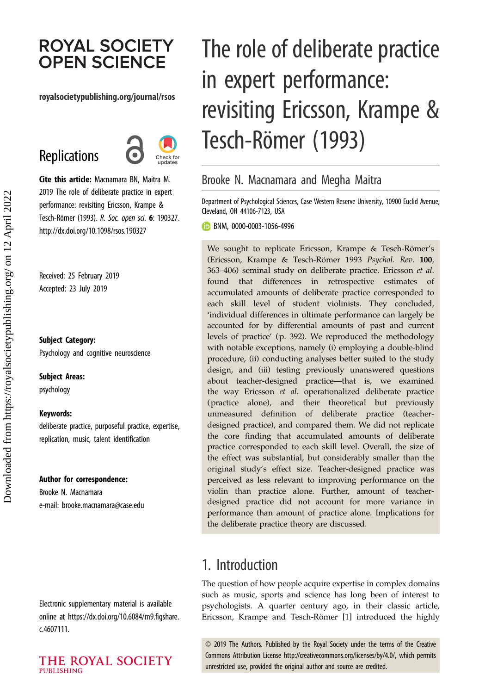# **ROYAL SOCIETY OPEN SCIENCE**

## royalsocietypublishing.org/journal/rsos

# **Replications**



Cite this article: Macnamara BN, Maitra M. 2019 The role of deliberate practice in expert performance: revisiting Ericsson, Krampe & Tesch-Römer (1993). R. Soc. open sci. 6: 190327. http://dx.doi.org/10.1098/rsos.190327

Received: 25 February 2019 Accepted: 23 July 2019

### Subject Category:

Psychology and cognitive neuroscience

## Subject Areas:

psychology

#### Keywords:

deliberate practice, purposeful practice, expertise, replication, music, talent identification

#### Author for correspondence:

Brooke N. Macnamara e-mail: [brooke.macnamara@case.edu](mailto:brooke.macnamara@case.edu)

Electronic supplementary material is available online at [https://dx.doi.org/10.6084/m9.figshare.](https://dx.doi.org/10.6084/m9.figshare.c.4607111) [c.4607111.](https://dx.doi.org/10.6084/m9.figshare.c.4607111)

## THE ROYAL SOCIETY **PUBLISHING**

# The role of deliberate practice in expert performance: revisiting Ericsson, Krampe & Tesch-Römer (1993)

## Brooke N. Macnamara and Megha Maitra

Department of Psychological Sciences, Case Western Reserve University, 10900 Euclid Avenue, Cleveland, OH 44106-7123, USA

**BNM, [0000-0003-1056-4996](http://orcid.org/0000-0003-1056-4996)** 

We sought to replicate Ericsson, Krampe & Tesch-Römer's (Ericsson, Krampe & Tesch-Römer 1993 Psychol. Rev. 100, 363–406) seminal study on deliberate practice. Ericsson et al. found that differences in retrospective estimates accumulated amounts of deliberate practice corresponded to each skill level of student violinists. They concluded, 'individual differences in ultimate performance can largely be accounted for by differential amounts of past and current levels of practice' (p. 392). We reproduced the methodology with notable exceptions, namely (i) employing a double-blind procedure, (ii) conducting analyses better suited to the study design, and (iii) testing previously unanswered questions about teacher-designed practice—that is, we examined the way Ericsson et al. operationalized deliberate practice (practice alone), and their theoretical but previously unmeasured definition of deliberate practice (teacherdesigned practice), and compared them. We did not replicate the core finding that accumulated amounts of deliberate practice corresponded to each skill level. Overall, the size of the effect was substantial, but considerably smaller than the original study's effect size. Teacher-designed practice was perceived as less relevant to improving performance on the violin than practice alone. Further, amount of teacherdesigned practice did not account for more variance in performance than amount of practice alone. Implications for the deliberate practice theory are discussed.

## 1. Introduction

The question of how people acquire expertise in complex domains such as music, sports and science has long been of interest to psychologists. A quarter century ago, in their classic article, Ericsson, Krampe and Tesch-Römer [\[1\]](#page-17-0) introduced the highly

© 2019 The Authors. Published by the Royal Society under the terms of the Creative Commons Attribution License<http://creativecommons.org/licenses/by/4.0/>, which permits unrestricted use, provided the original author and source are credited.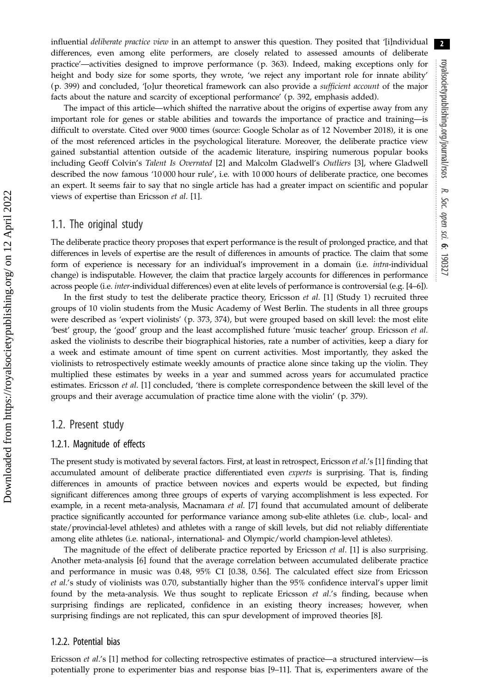influential deliberate practice view in an attempt to answer this question. They posited that '[i]ndividual differences, even among elite performers, are closely related to assessed amounts of deliberate practice'—activities designed to improve performance (p. 363). Indeed, making exceptions only for height and body size for some sports, they wrote, 'we reject any important role for innate ability' (p. 399) and concluded, '[o]ur theoretical framework can also provide a sufficient account of the major facts about the nature and scarcity of exceptional performance' (p. 392, emphasis added).

The impact of this article—which shifted the narrative about the origins of expertise away from any important role for genes or stable abilities and towards the importance of practice and training—is difficult to overstate. Cited over 9000 times (source: Google Scholar as of 12 November 2018), it is one of the most referenced articles in the psychological literature. Moreover, the deliberate practice view gained substantial attention outside of the academic literature, inspiring numerous popular books including Geoff Colvin's Talent Is Overrated [\[2\]](#page-17-0) and Malcolm Gladwell's Outliers [\[3\]](#page-17-0), where Gladwell described the now famous '10 000 hour rule', i.e. with 10 000 hours of deliberate practice, one becomes an expert. It seems fair to say that no single article has had a greater impact on scientific and popular views of expertise than Ericsson et al. [[1](#page-17-0)].

## 1.1. The original study

The deliberate practice theory proposes that expert performance is the result of prolonged practice, and that differences in levels of expertise are the result of differences in amounts of practice. The claim that some form of experience is necessary for an individual's improvement in a domain (i.e. *intra*-individual change) is indisputable. However, the claim that practice largely accounts for differences in performance across people (i.e. inter-individual differences) even at elite levels of performance is controversial (e.g. [\[4](#page-17-0)–[6\]](#page-18-0)).

In the first study to test the deliberate practice theory, Ericsson *et al.* [[1](#page-17-0)] (Study 1) recruited three groups of 10 violin students from the Music Academy of West Berlin. The students in all three groups were described as 'expert violinists' (p. 373, 374), but were grouped based on skill level: the most elite 'best' group, the 'good' group and the least accomplished future 'music teacher' group. Ericsson et al. asked the violinists to describe their biographical histories, rate a number of activities, keep a diary for a week and estimate amount of time spent on current activities. Most importantly, they asked the violinists to retrospectively estimate weekly amounts of practice alone since taking up the violin. They multiplied these estimates by weeks in a year and summed across years for accumulated practice estimates. Ericsson *et al.* [[1](#page-17-0)] concluded, 'there is complete correspondence between the skill level of the groups and their average accumulation of practice time alone with the violin' (p. 379).

## 1.2. Present study

## 1.2.1. Magnitude of effects

The present study is motivated by several factors. First, at least in retrospect, Ericsson et al.'s [[1](#page-17-0)] finding that accumulated amount of deliberate practice differentiated even experts is surprising. That is, finding differences in amounts of practice between novices and experts would be expected, but finding significant differences among three groups of experts of varying accomplishment is less expected. For example, in a recent meta-analysis, Macnamara et al. [[7](#page-18-0)] found that accumulated amount of deliberate practice significantly accounted for performance variance among sub-elite athletes (i.e. club-, local- and state/provincial-level athletes) and athletes with a range of skill levels, but did not reliably differentiate among elite athletes (i.e. national-, international- and Olympic/world champion-level athletes).

The magnitude of the effect of deliberate practice reported by Ericsson *et al.* [\[1\]](#page-17-0) is also surprising. Another meta-analysis [[6](#page-18-0)] found that the average correlation between accumulated deliberate practice and performance in music was 0.48, 95% CI [0.38, 0.56]. The calculated effect size from Ericsson et al.'s study of violinists was 0.70, substantially higher than the 95% confidence interval's upper limit found by the meta-analysis. We thus sought to replicate Ericsson  $et$  al.'s finding, because when surprising findings are replicated, confidence in an existing theory increases; however, when surprising findings are not replicated, this can spur development of improved theories [\[8\]](#page-18-0).

## 1.2.2. Potential bias

Ericsson et al.'s [[1](#page-17-0)] method for collecting retrospective estimates of practice—a structured interview—is potentially prone to experimenter bias and response bias [\[9](#page-18-0)–[11\]](#page-18-0). That is, experimenters aware of the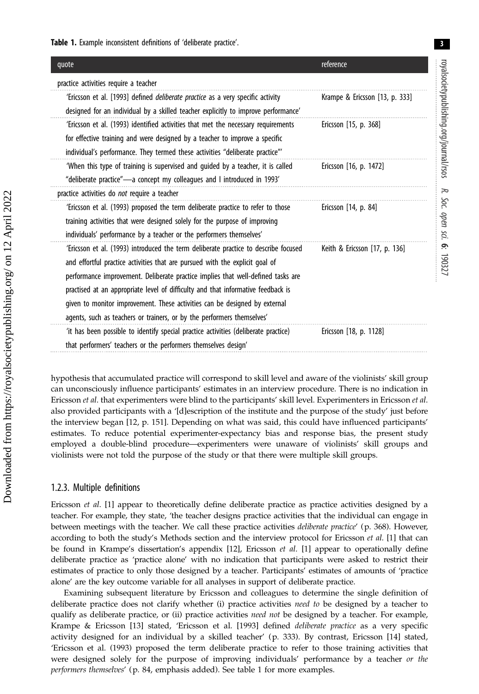<span id="page-2-0"></span>Table 1. Example inconsistent definitions of 'deliberate practice'.

| quote                                                                                  | reference                      |
|----------------------------------------------------------------------------------------|--------------------------------|
| practice activities require a teacher                                                  |                                |
| 'Ericsson et al. [1993] defined <i>deliberate practice</i> as a very specific activity | Krampe & Ericsson [13, p. 333] |
| designed for an individual by a skilled teacher explicitly to improve performance'     |                                |
| 'Ericsson et al. (1993) identified activities that met the necessary requirements      | Ericsson [15, p. 368]          |
| for effective training and were designed by a teacher to improve a specific            |                                |
| individual's performance. They termed these activities "deliberate practice"           |                                |
| 'When this type of training is supervised and guided by a teacher, it is called        | Ericsson [16, p. 1472]         |
| "deliberate practice"-a concept my colleagues and I introduced in 1993'                |                                |
| practice activities do <i>not</i> require a teacher                                    |                                |
| 'Ericsson et al. (1993) proposed the term deliberate practice to refer to those        | Ericsson [14, p. 84]           |
| training activities that were designed solely for the purpose of improving             |                                |
| individuals' performance by a teacher or the performers themselves'                    |                                |
| 'Ericsson et al. (1993) introduced the term deliberate practice to describe focused    | Keith & Ericsson [17, p. 136]  |
| and effortful practice activities that are pursued with the explicit goal of           |                                |
| performance improvement. Deliberate practice implies that well-defined tasks are       |                                |
| practised at an appropriate level of difficulty and that informative feedback is       |                                |
| given to monitor improvement. These activities can be designed by external             |                                |
| agents, such as teachers or trainers, or by the performers themselves'                 |                                |
| 'it has been possible to identify special practice activities (deliberate practice)    | Ericsson [18, p. 1128]         |
| that performers' teachers or the performers themselves design'                         |                                |

hypothesis that accumulated practice will correspond to skill level and aware of the violinists' skill group can unconsciously influence participants' estimates in an interview procedure. There is no indication in Ericsson et al. that experimenters were blind to the participants' skill level. Experimenters in Ericsson et al. also provided participants with a '[d]escription of the institute and the purpose of the study' just before the interview began [[12,](#page-18-0) p. 151]. Depending on what was said, this could have influenced participants' estimates. To reduce potential experimenter-expectancy bias and response bias, the present study employed a double-blind procedure—experimenters were unaware of violinists' skill groups and violinists were not told the purpose of the study or that there were multiple skill groups.

### 1.2.3. Multiple definitions

Ericsson et al. [\[1](#page-17-0)] appear to theoretically define deliberate practice as practice activities designed by a teacher. For example, they state, 'the teacher designs practice activities that the individual can engage in between meetings with the teacher. We call these practice activities *deliberate practice'* (p. 368). However, according to both the study's Methods section and the interview protocol for Ericsson *et al.* [\[1\]](#page-17-0) that can be found in Krampe's dissertation's appendix [\[12\]](#page-18-0), Ericsson et al. [[1](#page-17-0)] appear to operationally define deliberate practice as 'practice alone' with no indication that participants were asked to restrict their estimates of practice to only those designed by a teacher. Participants' estimates of amounts of 'practice alone' are the key outcome variable for all analyses in support of deliberate practice.

Examining subsequent literature by Ericsson and colleagues to determine the single definition of deliberate practice does not clarify whether (i) practice activities need to be designed by a teacher to qualify as deliberate practice, or (ii) practice activities need not be designed by a teacher. For example, Krampe & Ericsson [[13\]](#page-18-0) stated, 'Ericsson et al. [1993] defined *deliberate practice* as a very specific activity designed for an individual by a skilled teacher' (p. 333). By contrast, Ericsson [[14\]](#page-18-0) stated, 'Ericsson et al. (1993) proposed the term deliberate practice to refer to those training activities that were designed solely for the purpose of improving individuals' performance by a teacher or the performers themselves' (p. 84, emphasis added). See table 1 for more examples.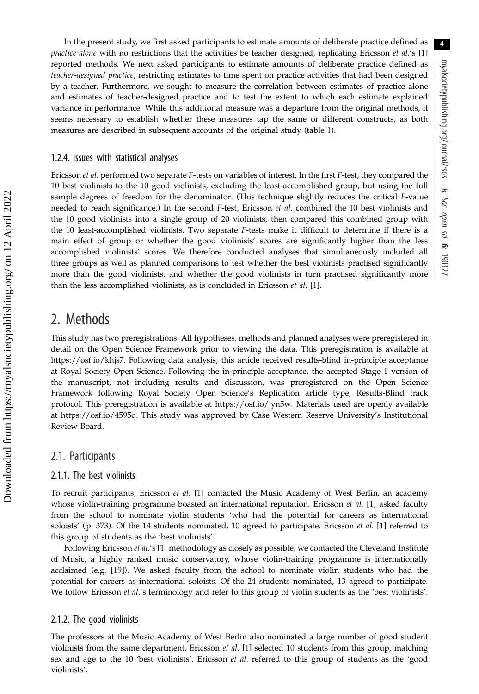In the present study, we first asked participants to estimate amounts of deliberate practice defined as practice alone with no restrictions that the activities be teacher designed, replicating Ericsson et al.'s [\[1\]](#page-17-0) reported methods. We next asked participants to estimate amounts of deliberate practice defined as teacher-designed practice, restricting estimates to time spent on practice activities that had been designed by a teacher. Furthermore, we sought to measure the correlation between estimates of practice alone and estimates of teacher-designed practice and to test the extent to which each estimate explained variance in performance. While this additional measure was a departure from the original methods, it seems necessary to establish whether these measures tap the same or different constructs, as both measures are described in subsequent accounts of the original study [\(table 1](#page-2-0)).

## 1.2.4. Issues with statistical analyses

Ericsson et al. performed two separate F-tests on variables of interest. In the first F-test, they compared the 10 best violinists to the 10 good violinists, excluding the least-accomplished group, but using the full sample degrees of freedom for the denominator. (This technique slightly reduces the critical F-value needed to reach significance.) In the second F-test, Ericsson et al. combined the 10 best violinists and the 10 good violinists into a single group of 20 violinists, then compared this combined group with the 10 least-accomplished violinists. Two separate F-tests make it difficult to determine if there is a main effect of group or whether the good violinists' scores are significantly higher than the less accomplished violinists' scores. We therefore conducted analyses that simultaneously included all three groups as well as planned comparisons to test whether the best violinists practised significantly more than the good violinists, and whether the good violinists in turn practised significantly more than the less accomplished violinists, as is concluded in Ericsson et al. [\[1](#page-17-0)].

## 2. Methods

This study has two preregistrations. All hypotheses, methods and planned analyses were preregistered in detail on the Open Science Framework prior to viewing the data. This preregistration is available at [https://osf.io/khjs7.](https://osf.io/khjs7) Following data analysis, this article received results-blind in-principle acceptance at Royal Society Open Science. Following the in-principle acceptance, the accepted Stage 1 version of the manuscript, not including results and discussion, was preregistered on the Open Science Framework following Royal Society Open Science's Replication article type, Results-Blind track protocol. This preregistration is available at<https://osf.io/jyn5w>. Materials used are openly available at<https://osf.io/4595q>. This study was approved by Case Western Reserve University's Institutional Review Board.

## 2.1. Participants

#### 2.1.1. The best violinists

To recruit participants, Ericsson et al. [[1](#page-17-0)] contacted the Music Academy of West Berlin, an academy whose violin-training programme boasted an international reputation. Ericsson et al. [[1](#page-17-0)] asked faculty from the school to nominate violin students 'who had the potential for careers as international soloists' (p. 373). Of the [1](#page-17-0)4 students nominated, 10 agreed to participate. Ericsson et al. [1] referred to this group of students as the 'best violinists'.

Following Ericsson et al.'s [[1](#page-17-0)] methodology as closely as possible, we contacted the Cleveland Institute of Music, a highly ranked music conservatory, whose violin-training programme is internationally acclaimed (e.g. [[19\]](#page-18-0)). We asked faculty from the school to nominate violin students who had the potential for careers as international soloists. Of the 24 students nominated, 13 agreed to participate. We follow Ericsson et al.'s terminology and refer to this group of violin students as the 'best violinists'.

### 2.1.2. The good violinists

The professors at the Music Academy of West Berlin also nominated a large number of good student violinists from the same department. Ericsson *et al.* [\[1\]](#page-17-0) selected 10 students from this group, matching sex and age to the 10 'best violinists'. Ericsson *et al.* referred to this group of students as the 'good violinists'.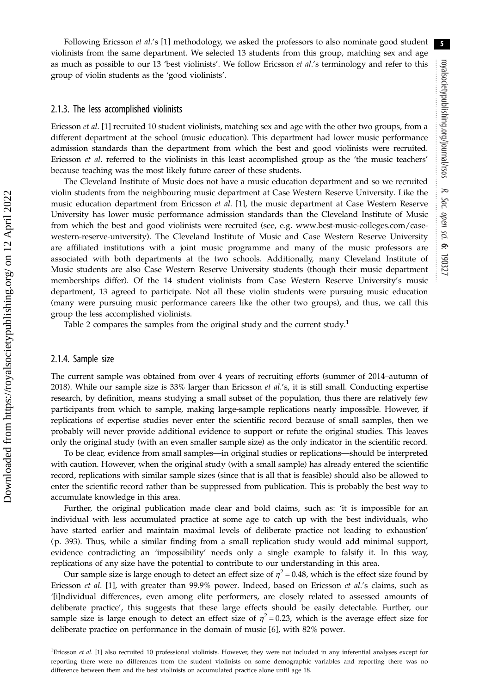Following Ericsson et al.'s [\[1\]](#page-17-0) methodology, we asked the professors to also nominate good student violinists from the same department. We selected 13 students from this group, matching sex and age as much as possible to our 13 'best violinists'. We follow Ericsson et al.'s terminology and refer to this group of violin students as the 'good violinists'.

## 2.1.3. The less accomplished violinists

Ericsson *et al.* [[1](#page-17-0)] recruited 10 student violinists, matching sex and age with the other two groups, from a different department at the school (music education). This department had lower music performance admission standards than the department from which the best and good violinists were recruited. Ericsson *et al.* referred to the violinists in this least accomplished group as the 'the music teachers' because teaching was the most likely future career of these students.

The Cleveland Institute of Music does not have a music education department and so we recruited violin students from the neighbouring music department at Case Western Reserve University. Like the music education department from Ericsson et al. [[1](#page-17-0)], the music department at Case Western Reserve University has lower music performance admission standards than the Cleveland Institute of Music from which the best and good violinists were recruited (see, e.g. [www.best-music-colleges.com/case](http://www.best-music-colleges.com/case-western-reserve-university)[western-reserve-university\)](http://www.best-music-colleges.com/case-western-reserve-university). The Cleveland Institute of Music and Case Western Reserve University are affiliated institutions with a joint music programme and many of the music professors are associated with both departments at the two schools. Additionally, many Cleveland Institute of Music students are also Case Western Reserve University students (though their music department memberships differ). Of the 14 student violinists from Case Western Reserve University's music department, 13 agreed to participate. Not all these violin students were pursuing music education (many were pursuing music performance careers like the other two groups), and thus, we call this group the less accomplished violinists.

[Table 2](#page-5-0) compares the samples from the original study and the current study.<sup>1</sup>

## 2.1.4. Sample size

The current sample was obtained from over 4 years of recruiting efforts (summer of 2014–autumn of 2018). While our sample size is  $33\%$  larger than Ericsson *et al.'s*, it is still small. Conducting expertise research, by definition, means studying a small subset of the population, thus there are relatively few participants from which to sample, making large-sample replications nearly impossible. However, if replications of expertise studies never enter the scientific record because of small samples, then we probably will never provide additional evidence to support or refute the original studies. This leaves only the original study (with an even smaller sample size) as the only indicator in the scientific record.

To be clear, evidence from small samples—in original studies or replications—should be interpreted with caution. However, when the original study (with a small sample) has already entered the scientific record, replications with similar sample sizes (since that is all that is feasible) should also be allowed to enter the scientific record rather than be suppressed from publication. This is probably the best way to accumulate knowledge in this area.

Further, the original publication made clear and bold claims, such as: 'it is impossible for an individual with less accumulated practice at some age to catch up with the best individuals, who have started earlier and maintain maximal levels of deliberate practice not leading to exhaustion' (p. 393). Thus, while a similar finding from a small replication study would add minimal support, evidence contradicting an 'impossibility' needs only a single example to falsify it. In this way, replications of any size have the potential to contribute to our understanding in this area.

Our sample size is large enough to detect an effect size of  $\eta^2$  = 0.48, which is the effect size found by Ericsson et al. [[1\]](#page-17-0), with greater than 99.9% power. Indeed, based on Ericsson et al.'s claims, such as '[i]ndividual differences, even among elite performers, are closely related to assessed amounts of deliberate practice', this suggests that these large effects should be easily detectable. Further, our sample size is large enough to detect an effect size of  $\eta^2 = 0.23$ , which is the average effect size for deliberate practice on performance in the domain of music [[6](#page-18-0)], with 82% power.

<sup>&</sup>lt;sup>1</sup>Ericsson et al. [\[1](#page-17-0)] also recruited 10 professional violinists. However, they were not included in any inferential analyses except for reporting there were no differences from the student violinists on some demographic variables and reporting there was no difference between them and the best violinists on accumulated practice alone until age 18.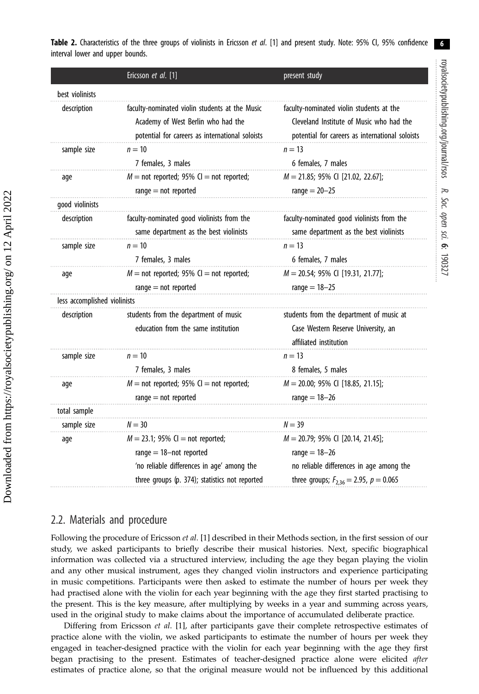<span id="page-5-0"></span>Table 2. Characteristics of the three groups of violinists in Ericsson et al. [[1\]](#page-17-0) and present study. Note: 95% CI, 95% confidence interval lower and upper bounds.

|                              | Ericsson et al. [1]                                                                                                                                                | present study                                                                                                                                          |
|------------------------------|--------------------------------------------------------------------------------------------------------------------------------------------------------------------|--------------------------------------------------------------------------------------------------------------------------------------------------------|
| best violinists              |                                                                                                                                                                    |                                                                                                                                                        |
| description                  | faculty-nominated violin students at the Music<br>Academy of West Berlin who had the<br>potential for careers as international soloists                            | faculty-nominated violin students at the<br>Cleveland Institute of Music who had the<br>potential for careers as international soloists                |
| sample size                  | $n = 10$<br>7 females, 3 males                                                                                                                                     | $n = 13$<br>6 females, 7 males                                                                                                                         |
| age                          | $M =$ not reported; 95% CI = not reported;<br>$range = not reported$                                                                                               | $M = 21.85$ ; 95% CI [21.02, 22.67];<br>range $= 20-25$                                                                                                |
| good violinists              |                                                                                                                                                                    |                                                                                                                                                        |
| description                  | faculty-nominated good violinists from the<br>same department as the best violinists                                                                               | faculty-nominated good violinists from the<br>same department as the best violinists                                                                   |
| sample size                  | $n = 10$<br>7 females, 3 males                                                                                                                                     | $n = 13$<br>6 females, 7 males                                                                                                                         |
| age                          | $M =$ not reported; 95% CI = not reported;<br>$range = not reported$                                                                                               | $M = 20.54$ ; 95% CI [19.31, 21.77];<br>$range = 18 - 25$                                                                                              |
| less accomplished violinists |                                                                                                                                                                    |                                                                                                                                                        |
| description                  | students from the department of music<br>education from the same institution                                                                                       | students from the department of music at<br>Case Western Reserve University, an<br>affiliated institution                                              |
| sample size                  | $n = 10$<br>7 females, 3 males                                                                                                                                     | $n = 13$<br>8 females, 5 males                                                                                                                         |
| aqe                          | $M =$ not reported; 95% CI = not reported;<br>$range = not reported$                                                                                               | $M = 20.00$ ; 95% CI [18.85, 21.15];<br>$range = 18 - 26$                                                                                              |
| total sample                 |                                                                                                                                                                    |                                                                                                                                                        |
| sample size                  | $N = 30$                                                                                                                                                           | $N = 39$                                                                                                                                               |
| age                          | $M = 23.1$ ; 95% CI = not reported;<br>$range = 18 - not reported$<br>'no reliable differences in age' among the<br>three groups (p. 374); statistics not reported | $M = 20.79$ ; 95% CI [20.14, 21.45];<br>range $= 18 - 26$<br>no reliable differences in age among the<br>three groups; $F_{2,36} = 2.95$ , $p = 0.065$ |

## 2.2. Materials and procedure

Following the procedure of Ericsson et al. [\[1\]](#page-17-0) described in their Methods section, in the first session of our study, we asked participants to briefly describe their musical histories. Next, specific biographical information was collected via a structured interview, including the age they began playing the violin and any other musical instrument, ages they changed violin instructors and experience participating in music competitions. Participants were then asked to estimate the number of hours per week they had practised alone with the violin for each year beginning with the age they first started practising to the present. This is the key measure, after multiplying by weeks in a year and summing across years, used in the original study to make claims about the importance of accumulated deliberate practice.

Differing from Ericsson et al. [\[1\]](#page-17-0), after participants gave their complete retrospective estimates of practice alone with the violin, we asked participants to estimate the number of hours per week they engaged in teacher-designed practice with the violin for each year beginning with the age they first began practising to the present. Estimates of teacher-designed practice alone were elicited after estimates of practice alone, so that the original measure would not be influenced by this additional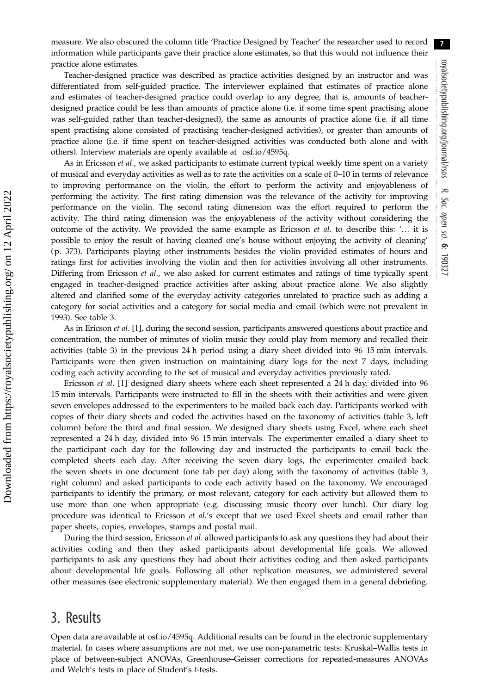measure. We also obscured the column title 'Practice Designed by Teacher' the researcher used to record information while participants gave their practice alone estimates, so that this would not influence their practice alone estimates.

Teacher-designed practice was described as practice activities designed by an instructor and was differentiated from self-guided practice. The interviewer explained that estimates of practice alone and estimates of teacher-designed practice could overlap to any degree, that is, amounts of teacherdesigned practice could be less than amounts of practice alone (i.e. if some time spent practising alone was self-guided rather than teacher-designed), the same as amounts of practice alone (i.e. if all time spent practising alone consisted of practising teacher-designed activities), or greater than amounts of practice alone (i.e. if time spent on teacher-designed activities was conducted both alone and with others). Interview materials are openly available at [osf.io/4595q.](https://osf.io/4595q)

As in Ericsson et al., we asked participants to estimate current typical weekly time spent on a variety of musical and everyday activities as well as to rate the activities on a scale of 0–10 in terms of relevance to improving performance on the violin, the effort to perform the activity and enjoyableness of performing the activity. The first rating dimension was the relevance of the activity for improving performance on the violin. The second rating dimension was the effort required to perform the activity. The third rating dimension was the enjoyableness of the activity without considering the outcome of the activity. We provided the same example as Ericsson et al. to describe this: '... it is possible to enjoy the result of having cleaned one's house without enjoying the activity of cleaning' (p. 373). Participants playing other instruments besides the violin provided estimates of hours and ratings first for activities involving the violin and then for activities involving all other instruments. Differing from Ericsson et al., we also asked for current estimates and ratings of time typically spent engaged in teacher-designed practice activities after asking about practice alone. We also slightly altered and clarified some of the everyday activity categories unrelated to practice such as adding a category for social activities and a category for social media and email (which were not prevalent in 1993). See [table 3](#page-7-0).

As in Ericson et al. [[1](#page-17-0)], during the second session, participants answered questions about practice and concentration, the number of minutes of violin music they could play from memory and recalled their activities [\(table 3\)](#page-7-0) in the previous 24 h period using a diary sheet divided into 96 15 min intervals. Participants were then given instruction on maintaining diary logs for the next 7 days, including coding each activity according to the set of musical and everyday activities previously rated.

Ericsson et al. [\[1\]](#page-17-0) designed diary sheets where each sheet represented a 24 h day, divided into 96 15 min intervals. Participants were instructed to fill in the sheets with their activities and were given seven envelopes addressed to the experimenters to be mailed back each day. Participants worked with copies of their diary sheets and coded the activities based on the taxonomy of activities ([table 3](#page-7-0), left column) before the third and final session. We designed diary sheets using Excel, where each sheet represented a 24 h day, divided into 96 15 min intervals. The experimenter emailed a diary sheet to the participant each day for the following day and instructed the participants to email back the completed sheets each day. After receiving the seven diary logs, the experimenter emailed back the seven sheets in one document (one tab per day) along with the taxonomy of activities ([table 3](#page-7-0), right column) and asked participants to code each activity based on the taxonomy. We encouraged participants to identify the primary, or most relevant, category for each activity but allowed them to use more than one when appropriate (e.g. discussing music theory over lunch). Our diary log procedure was identical to Ericsson et al.'s except that we used Excel sheets and email rather than paper sheets, copies, envelopes, stamps and postal mail.

During the third session, Ericsson *et al.* allowed participants to ask any questions they had about their activities coding and then they asked participants about developmental life goals. We allowed participants to ask any questions they had about their activities coding and then asked participants about developmental life goals. Following all other replication measures, we administered several other measures (see electronic supplementary material). We then engaged them in a general debriefing.

## 3. Results

Open data are available at [osf.io/4595q](https://osf.io/4595q). Additional results can be found in the electronic supplementary material. In cases where assumptions are not met, we use non-parametric tests: Kruskal–Wallis tests in place of between-subject ANOVAs, Greenhouse–Geisser corrections for repeated-measures ANOVAs and Welch's tests in place of Student's t-tests.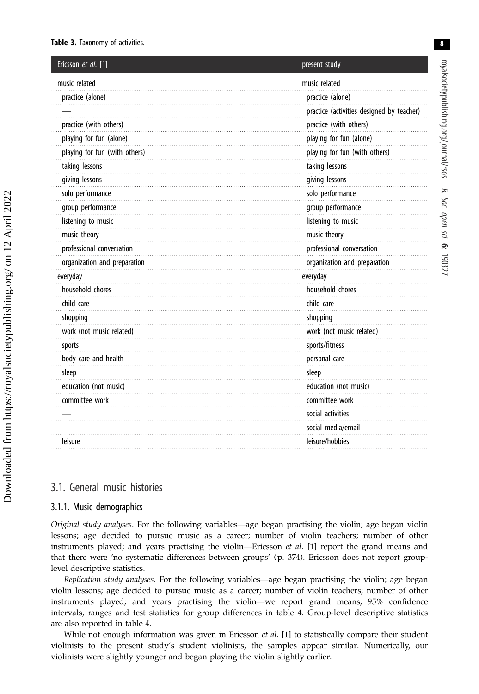#### <span id="page-7-0"></span>Table 3. Taxonomy of activities.

| Ericsson et al. [1]           | present study                             |
|-------------------------------|-------------------------------------------|
| music related                 | music related                             |
| practice (alone)              | practice (alone)                          |
|                               | practice (activities designed by teacher) |
| practice (with others)        | practice (with others)                    |
| playing for fun (alone)       | playing for fun (alone)                   |
| playing for fun (with others) | playing for fun (with others)             |
| taking lessons                | taking lessons                            |
| giving lessons                | giving lessons                            |
| solo performance              | solo performance                          |
| group performance             | group performance                         |
| listening to music            | listening to music                        |
| music theory                  | music theory                              |
| professional conversation     | professional conversation                 |
| organization and preparation  | organization and preparation              |
| everyday                      | everyday                                  |
| household chores              | household chores                          |
| child care                    | child care                                |
| shopping                      | shopping                                  |
| work (not music related)      | work (not music related)                  |
| sports                        | sports/fitness                            |
| body care and health          | personal care                             |
| sleep                         | sleep                                     |
| education (not music)         | education (not music)                     |
| committee work                | committee work                            |
|                               | social activities                         |
|                               | social media/email                        |
| leisure                       | leisure/hobbies                           |
|                               |                                           |

## 3.1. General music histories

## 3.1.1. Music demographics

Original study analyses. For the following variables—age began practising the violin; age began violin lessons; age decided to pursue music as a career; number of violin teachers; number of other instruments played; and years practising the violin—Ericsson et al. [[1](#page-17-0)] report the grand means and that there were 'no systematic differences between groups' (p. 374). Ericsson does not report grouplevel descriptive statistics.

Replication study analyses. For the following variables—age began practising the violin; age began violin lessons; age decided to pursue music as a career; number of violin teachers; number of other instruments played; and years practising the violin—we report grand means, 95% confidence intervals, ranges and test statistics for group differences in [table 4.](#page-8-0) Group-level descriptive statistics are also reported in [table 4](#page-8-0).

While not enough information was given in Ericsson et al. [[1](#page-17-0)] to statistically compare their student violinists to the present study's student violinists, the samples appear similar. Numerically, our violinists were slightly younger and began playing the violin slightly earlier.

8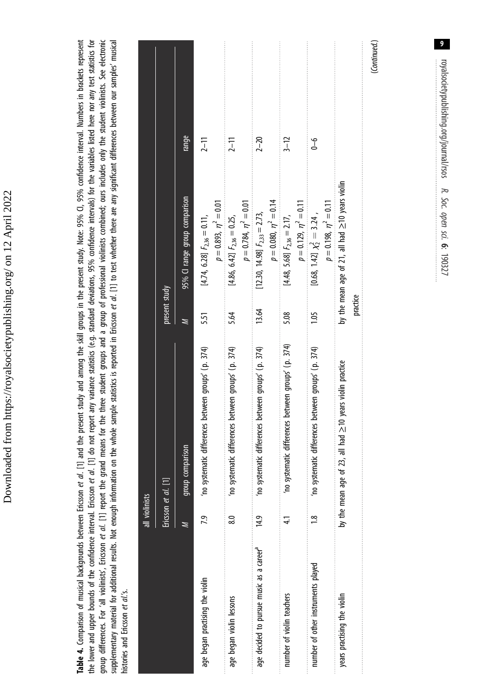Downloaded from https://royalsocietypublishing.org/ on 12 April 2022 Downloaded from https://royalsocietypublishing.org/ on 12 April 2022 <span id="page-8-0"></span>Table 4. Comparison of musical backgrounds between Ericsson et al. [1] and the present study and among the skill groups in the present study. Note: 95% CJ, 95% confidence interval. Numbers in brackets represent the lower and upper bounds of the confidence interval. Ericsson et al. [1] do not report any variance statistics (e.g. standard deviations, 95% confidence intervals) for the variables listed here nor any test statistics fo group differences. For 'all violinists', Ericsson et al. [1] report the grand means for the ethere student groups and a group of professional violinists combined; ours includes only the student violinists. See electronic supplementary material for additional results. Not enough information on the whole sample statistics is reported in Ericsson et al. [1] to test whether there are any significant differences between our samples' musical Table 4. Comparison of musical backgrounds between Ericsson *et al.* [[1](#page-17-0)] and the present study and among the skill groups in the present study. Note: 95% Confidence interval. Numbers in brackets represent the lower and upper bounds of the confidence interval. Ericsson *et al.* [[1](#page-17-0)] do not report any variance statistics (e.g. standard deviations, 95% confidence intervals) for the variables listed here nor any test statistics group differences. For 'all violinists', Ericsson *et al.* [[1\]](#page-17-0) report the grand means for the endems for the exudent groups and a groups of professional violinists combined; ours includes only the student violinists. See e supplementary material for additional results. Not enough information on the whole sample statistics is reported in Ericsson et al. [\[1](#page-17-0)] to test whether there are any significant differences between our samples' musical histories and Ericsson et al.'s. histories and Ericsson *et*  $a$ *l*.'s.

|                                                      | all violinists |                                                                   |               |                                                                    |                                                                |
|------------------------------------------------------|----------------|-------------------------------------------------------------------|---------------|--------------------------------------------------------------------|----------------------------------------------------------------|
|                                                      |                | Ericsson et al. [1]                                               | present study |                                                                    |                                                                |
|                                                      |                | group comparison                                                  |               | 95% CI range group comparison                                      | range                                                          |
| age began practising the violin                      | 7.9            | 'no systematic differences between groups' (p. 374)               | 5.51          | $p = 0.893, \eta^2 = 0.01$<br>$[4.74, 6.28]$ $F_{2,36} = 0.11$ ,   | $2 - 11$                                                       |
| age began violin lessons                             | 8.0            | 'no systematic differences between groups' (p. 374)               | 5.64          | $p = 0.784, \eta^2 = 0.01$<br>[4.86, 6.42] $F_{2,36} = 0.25$ ,     | $2 - 11$                                                       |
| age decided to pursue music as a career <sup>a</sup> | 14.9           | 'no systematic differences between groups' (p. 374)               | 13.64         | $p = 0.080, \eta^2 = 0.14$<br>$[12.30, 14.98]$ $F_{2,33} = 2.73$ , | $2 - 20$                                                       |
| number of violin teachers                            | 41             | 'no systematic differences between groups' (p. 374)               | 5.08          | $p = 0.129, \eta^2 = 0.11$<br>$[4.48, 5.68]$ $F_{2,36} = 2.17$ ,   | 医中央性病毒 医中央性 医中央性脊髓痨病 医血清性 医血清性黄疸 医血清性黄疸 医血清性黄疸 医血管<br>$3 - 12$ |
| number of other instruments played                   | $\frac{8}{1}$  | 'no systematic differences between groups' (p. 374)               | 1.05          | $p = 0.198, \eta^2 = 0.11$<br>$[0.68, 1.42]$ $\chi^2_2 = 3.24$ ,   | 医中央性原子 医耳耳耳氏反应 医耳耳耳 医耳鼻 医耳鼻 医耳角 医耳角 医血清 医血清<br>ە<br>ك          |
| years practising the violin                          |                | had $\geq$ 10 years violin practice<br>by the mean age of 23, all | practice      | by the mean age of 21, all had $\geq$ 10 years violin              |                                                                |
|                                                      |                |                                                                   |               |                                                                    | (Continued.)                                                   |

 $9$ royalsocietypublishing.org/journal/rsos R. Soc. open sci. 6: 190327 royalsocietypublishing.org/journal/rsos royalsocietypublishing.org/journal/rsos R. Soc. open sci. <u>م</u>.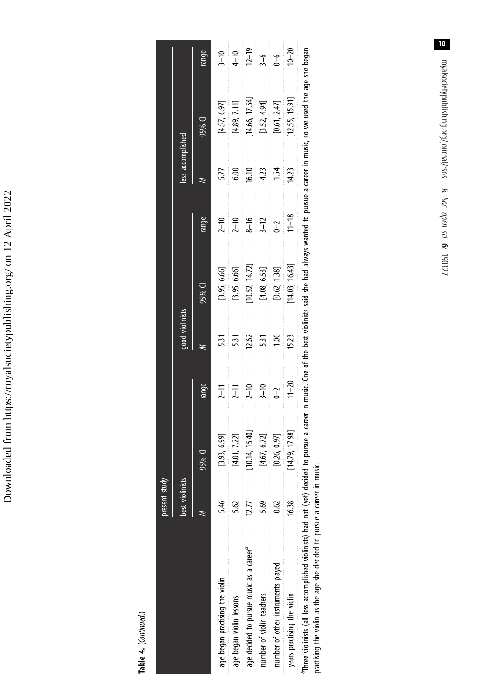Downloaded from https://royalsocietypublishing.org/ on 12 April 2022 Downloaded from https://royalsocietypublishing.org/ on 12 April 2022

> Table 4. (Continued.) Table 4. (Continued.)

|                                                                                                                                                                                                                                                                                    | present study   |                    |             |                 |               |               |                   |                               |                                                                            |
|------------------------------------------------------------------------------------------------------------------------------------------------------------------------------------------------------------------------------------------------------------------------------------|-----------------|--------------------|-------------|-----------------|---------------|---------------|-------------------|-------------------------------|----------------------------------------------------------------------------|
|                                                                                                                                                                                                                                                                                    | best violinists |                    |             | qood violinists |               |               | less accomplished |                               |                                                                            |
|                                                                                                                                                                                                                                                                                    |                 | 95%                | range       |                 | 95% CI        | range         |                   | 95% CI                        | range                                                                      |
| age began practising the violin                                                                                                                                                                                                                                                    | 546             | [3.93, 6.99]       | $2 - 11$    | 5.31            | [3.95, 6.66]  | $2 - 10$      | 5.77              | [4.57, 6.97]                  | $3 - 10$                                                                   |
| age began violin lessons                                                                                                                                                                                                                                                           | .62             | [4.01, 7.22]       | $2 - 11$    | 5.31            | [3.95, 6.66]  | $2 - 10$      | 6.00              | [4.89, 7.11]                  | $4-10$                                                                     |
| age decided to pursue music as a career <sup>4</sup>                                                                                                                                                                                                                               | 277             | 4, 15.40]<br>10.14 | $2 - 10$    | 12.62           | 10.52, 14.72] | $8 - 16$      | 16.10             | 14.66, 17.54]                 | $12 - 19$                                                                  |
| number of violin teachers                                                                                                                                                                                                                                                          | 5.69            | [4.67, 6.72]       | $3-10$      | $\frac{1}{5}$   | [4.08, 6.53]  | $3 - 12$      | $\frac{1}{4}$     |                               | $\begin{array}{c} \n\bullet \\ \bullet \\ \bullet \\ \bullet\n\end{array}$ |
| number of other instruments played                                                                                                                                                                                                                                                 | 0.62            | [0.26, 0.97]       | $\sqrt{-2}$ | $\frac{8}{1}$   | [0.62, 1.38]  | $\frac{1}{2}$ | 1.54              | $[3.52, 4.94]$ $[0.61, 2.47]$ |                                                                            |
| years practising the violin                                                                                                                                                                                                                                                        | 16.38           | [14.79, 17.98]     | $11 - 20$   | 15.23           | 14.03, 16.43] | $11 - 18$     | 14.23             | $12.55, 15.91$ ]              | $10 - 20$                                                                  |
| Three violinists (all less accomplished violinists) had not (yet) decided to pursue a career in music, so we used the dog had always wanted to pursue a career in music, so we used the age she began<br>practising the violin as the age she decided to pursue a career in music. |                 |                    |             |                 |               |               |                   |                               |                                                                            |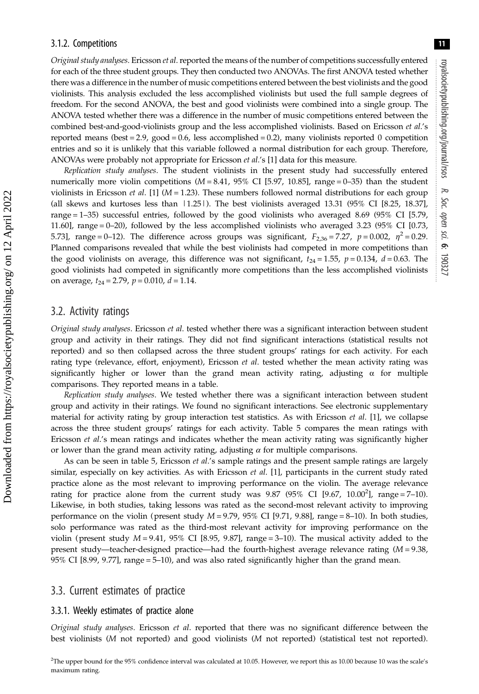## 3.1.2. Competitions

Original study analyses. Ericsson et al. reported the means of the number of competitions successfully entered for each of the three student groups. They then conducted two ANOVAs. The first ANOVA tested whether there was a difference in the number of music competitions entered between the best violinists and the good violinists. This analysis excluded the less accomplished violinists but used the full sample degrees of freedom. For the second ANOVA, the best and good violinists were combined into a single group. The ANOVA tested whether there was a difference in the number of music competitions entered between the combined best-and-good-violinists group and the less accomplished violinists. Based on Ericsson et al.'s reported means (best = 2.9, good = 0.6, less accomplished = 0.2), many violinists reported 0 competition entries and so it is unlikely that this variable followed a normal distribution for each group. Therefore, ANOVAs were probably not appropriate for Ericsson et al.'s [[1](#page-17-0)] data for this measure.

Replication study analyses. The student violinists in the present study had successfully entered numerically more violin competitions  $(M = 8.41, 95\% \text{ CI}$  [5.97, 10.85], range = 0–35) than the student violinists in Ericsson *et al.* [[1](#page-17-0)]  $(M = 1.23)$ . These numbers followed normal distributions for each group (all skews and kurtoses less than |1.25|). The best violinists averaged 13.31 (95% CI [8.25, 18.37], range = 1–35) successful entries, followed by the good violinists who averaged 8.69 (95% CI [5.79, 11.60], range = 0–20), followed by the less accomplished violinists who averaged 3.23 (95% CI [0.73, 5.73], range = 0–12). The difference across groups was significant,  $F_{2,36} = 7.27$ ,  $p = 0.002$ ,  $\eta^2 = 0.29$ . Planned comparisons revealed that while the best violinists had competed in more competitions than the good violinists on average, this difference was not significant,  $t_{24} = 1.55$ ,  $p = 0.134$ ,  $d = 0.63$ . The good violinists had competed in significantly more competitions than the less accomplished violinists on average,  $t_{24} = 2.79$ ,  $p = 0.010$ ,  $d = 1.14$ .

## 3.2. Activity ratings

Original study analyses. Ericsson et al. tested whether there was a significant interaction between student group and activity in their ratings. They did not find significant interactions (statistical results not reported) and so then collapsed across the three student groups' ratings for each activity. For each rating type (relevance, effort, enjoyment), Ericsson et al. tested whether the mean activity rating was significantly higher or lower than the grand mean activity rating, adjusting  $\alpha$  for multiple comparisons. They reported means in a table.

Replication study analyses. We tested whether there was a significant interaction between student group and activity in their ratings. We found no significant interactions. See electronic supplementary material for activity rating by group interaction test statistics. As with Ericsson *et al.* [\[1\]](#page-17-0), we collapse across the three student groups' ratings for each activity. [Table 5](#page-11-0) compares the mean ratings with Ericsson et al.'s mean ratings and indicates whether the mean activity rating was significantly higher or lower than the grand mean activity rating, adjusting  $\alpha$  for multiple comparisons.

As can be seen in [table 5](#page-11-0), Ericsson et al.'s sample ratings and the present sample ratings are largely similar, especially on key activities. As with Ericsson et al. [\[1\]](#page-17-0), participants in the current study rated practice alone as the most relevant to improving performance on the violin. The average relevance rating for practice alone from the current study was  $9.87$  ( $95\%$  CI [ $9.67$ ,  $10.00^2$ ], range=7-10). Likewise, in both studies, taking lessons was rated as the second-most relevant activity to improving performance on the violin (present study  $M = 9.79$ , 95% CI [9.71, 9.88], range = 8–10). In both studies, solo performance was rated as the third-most relevant activity for improving performance on the violin (present study  $M = 9.41$ , 95% CI [8.95, 9.87], range = 3–10). The musical activity added to the present study—teacher-designed practice—had the fourth-highest average relevance rating (M = 9.38, 95% CI [8.99, 9.77], range = 5–10), and was also rated significantly higher than the grand mean.

## 3.3. Current estimates of practice

### 3.3.1. Weekly estimates of practice alone

Original study analyses. Ericsson et al. reported that there was no significant difference between the best violinists (M not reported) and good violinists (M not reported) (statistical test not reported).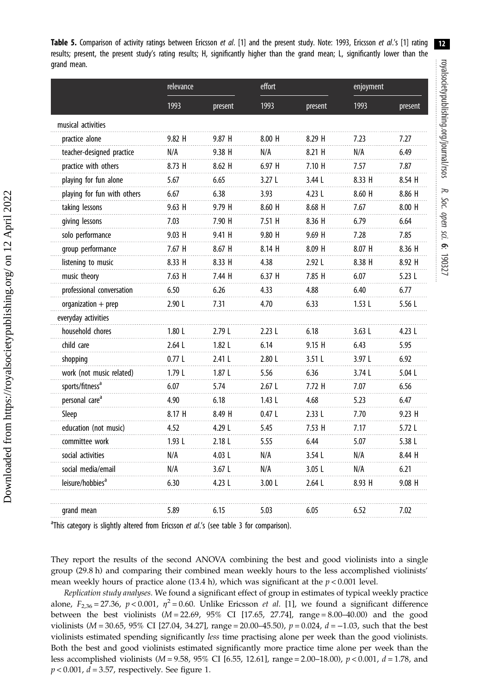<span id="page-11-0"></span>Table 5. Comparison of activity ratings between Ericsson et al. [[1\]](#page-17-0) and the present study. Note: 1993, Ericsson et al.'s [\[1](#page-17-0)] rating results; present, the present study's rating results; H, significantly higher than the grand mean; L, significantly lower than the grand mean.

|                              | relevance |          | effort |         | enjoyment |         |
|------------------------------|-----------|----------|--------|---------|-----------|---------|
|                              | 1993      | present  | 1993   | present | 1993      | present |
| musical activities           |           |          |        |         |           |         |
| practice alone               | 9.82 H    | 9.87 H   | 8.00 H | 8.29 H  | 7.23      | 7.27    |
| teacher-designed practice    | N/A       | 9.38 H   | N/A    | 8.21 H  | N/A       | 6.49    |
| practice with others         | 8.73 H    | $8.62$ H | 6.97 H | 7.10 H  | 7.57      | 7.87    |
| playing for fun alone        | 5.67      | 6.65     | 3.27L  | 3.44L   | 8.33 H    | 8.54 H  |
| playing for fun with others  | 6.67      | 6.38     | 3.93   | 4.23L   | 8.60 H    | 8.86 H  |
| taking lessons               | 9.63 H    | 9.79 H   | 8.60 H | 8.68 H  | 7.67      | 8.00 H  |
| giving lessons               | 7.03      | 7.90 H   | 7.51 H | 8.36 H  | 6.79      | 6.64    |
| solo performance             | $9.03$ H  | 9.41 H   | 9.80 H | 9.69 H  | 7.28      | 7.85    |
| group performance            | 7.67 H    | 8.67 H   | 8.14 H | 8.09 H  | 8.07 H    | 8.36 H  |
| listening to music           | 8.33 H    | 8.33 H   | 4.38   | 2.92L   | 8.38 H    | 8.92 H  |
| music theory                 | $7.63$ H  | 7.44 H   | 6.37 H | 7.85 H  | 6.07      | 5.23L   |
| professional conversation    | 6.50      | 6.26     | 4.33   | 4.88    | 6.40      | 6.77    |
| organization $+$ prep        | 2.90L     | 7.31     | 4.70   | 6.33    | 1.53L     | 5.56 L  |
| everyday activities          |           |          |        |         |           |         |
| household chores             | 1.80L     | 2.79L    | 2.23L  | 6.18    | 3.63L     | 4.23L   |
| child care                   | 2.64L     | 1.82L    | 6.14   | 9.15 H  | 6.43      | 5.95    |
| shopping                     | 0.77L     | 2.41L    | 2.80L  | 3.51L   | 3.97L     | 6.92    |
| work (not music related)     | 1.79 L    | 1.87L    | 5.56   | 6.36    | 3.74L     | 5.04L   |
| sports/fitness <sup>a</sup>  | 6.07      | 5.74     | 2.67L  | 7.72 H  | 7.07      | 6.56    |
| personal care <sup>a</sup>   | 4.90      | 6.18     | 1.43L  | 4.68    | 5.23      | 6.47    |
| Sleep                        | 8.17 H    | 8.49 H   | 0.47L  | 2.33L   | 7.70      | 9.23 H  |
| education (not music)        | 4.52      | 4.29 L   | 5.45   | 7.53 H  | 7.17      | 5.72 L  |
| committee work               | 1.93L     | 2.18L    | 5.55   | 6.44    | 5.07      | 5.38 L  |
| social activities            | N/A       | 4.03L    | N/A    | 3.54 L  | N/A       | 8.44 H  |
| social media/email           | N/A       | 3.67L    | N/A    | 3.05 L  | N/A       | 6.21    |
| leisure/hobbies <sup>a</sup> | 6.30      | 4.23 L   | 3.00 L | 2.64 L  | 8.93 H    | 9.08 H  |
| grand mean                   | 5.89      | 6.15     | 5.03   | 6.05    | 6.52      | 7.02    |
|                              |           |          |        |         |           |         |

<sup>a</sup>This category is slightly altered from Ericsson et al.'s (see [table 3](#page-7-0) for comparison).

They report the results of the second ANOVA combining the best and good violinists into a single group (29.8 h) and comparing their combined mean weekly hours to the less accomplished violinists' mean weekly hours of practice alone (13.4 h), which was significant at the  $p < 0.001$  level.

Replication study analyses. We found a significant effect of group in estimates of typical weekly practice alone,  $F_{2,36} = 27.36$ ,  $p < 0.001$  $p < 0.001$ ,  $\eta^2 = 0.60$ . Unlike Ericsson *et al.* [1], we found a significant difference between the best violinists  $(M = 22.69, 95\% \text{ CI}$  [17.65, 27.74], range = 8.00–40.00) and the good violinists (M = 30.65, 95% CI [27.04, 34.27], range = 20.00–45.50),  $p = 0.024$ ,  $d = -1.03$ , such that the best violinists estimated spending significantly less time practising alone per week than the good violinists. Both the best and good violinists estimated significantly more practice time alone per week than the less accomplished violinists ( $M = 9.58$ ,  $95\%$  CI [6.55, 12.61], range = 2.00–18.00),  $p < 0.001$ ,  $d = 1.78$ , and  $p < 0.001$ ,  $d = 3.57$ , respectively. See [figure 1.](#page-12-0)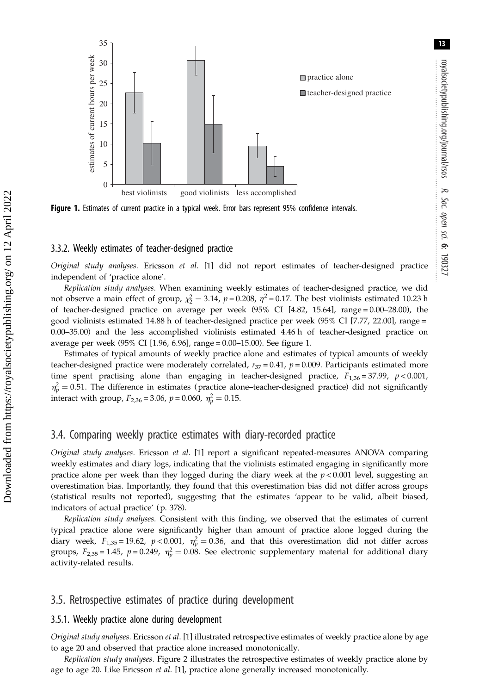<span id="page-12-0"></span>

Figure 1. Estimates of current practice in a typical week. Error bars represent 95% confidence intervals.

## 3.3.2. Weekly estimates of teacher-designed practice

Original study analyses. Ericsson et al. [\[1\]](#page-17-0) did not report estimates of teacher-designed practice independent of 'practice alone'.

Replication study analyses. When examining weekly estimates of teacher-designed practice, we did not observe a main effect of group,  $\chi^2$  = 3.14, p = 0.208,  $\eta^2$  = 0.17. The best violinists estimated 10.23 h of teacher-designed practice on average per week (95% CI [4.82, 15.64], range = 0.00–28.00), the good violinists estimated 14.88 h of teacher-designed practice per week (95% CI [7.77, 22.00], range = 0.00–35.00) and the less accomplished violinists estimated 4.46 h of teacher-designed practice on average per week (95% CI [1.96, 6.96], range = 0.00–15.00). See figure 1.

Estimates of typical amounts of weekly practice alone and estimates of typical amounts of weekly teacher-designed practice were moderately correlated,  $r_{37} = 0.41$ ,  $p = 0.009$ . Participants estimated more time spent practising alone than engaging in teacher-designed practice,  $F_{1,36} = 37.99$ ,  $p < 0.001$ ,  $\eta_p^2 = 0.51$ . The difference in estimates (practice alone–teacher-designed practice) did not significantly interact with group,  $F_{2,36} = 3.06$ ,  $p = 0.060$ ,  $\eta_p^2 = 0.15$ .

## 3.4. Comparing weekly practice estimates with diary-recorded practice

Original study analyses. Ericsson et al. [[1](#page-17-0)] report a significant repeated-measures ANOVA comparing weekly estimates and diary logs, indicating that the violinists estimated engaging in significantly more practice alone per week than they logged during the diary week at the  $p < 0.001$  level, suggesting an overestimation bias. Importantly, they found that this overestimation bias did not differ across groups (statistical results not reported), suggesting that the estimates 'appear to be valid, albeit biased, indicators of actual practice' (p. 378).

Replication study analyses. Consistent with this finding, we observed that the estimates of current typical practice alone were significantly higher than amount of practice alone logged during the diary week,  $F_{1,35} = 19.62$ ,  $p < 0.001$ ,  $\eta_p^2 = 0.36$ , and that this overestimation did not differ across groups,  $F_{2,35} = 1.45$ ,  $p = 0.249$ ,  $\eta_p^2 = 0.08$ . See electronic supplementary material for additional diary activity-related results.

## 3.5. Retrospective estimates of practice during development

## 3.5.1. Weekly practice alone during development

Original study analyses. Ericsson et al. [[1](#page-17-0)] illustrated retrospective estimates of weekly practice alone by age to age 20 and observed that practice alone increased monotonically.

Replication study analyses. [Figure 2](#page-13-0) illustrates the retrospective estimates of weekly practice alone by age to age 20. Like Ericsson *et al.* [[1](#page-17-0)], practice alone generally increased monotonically.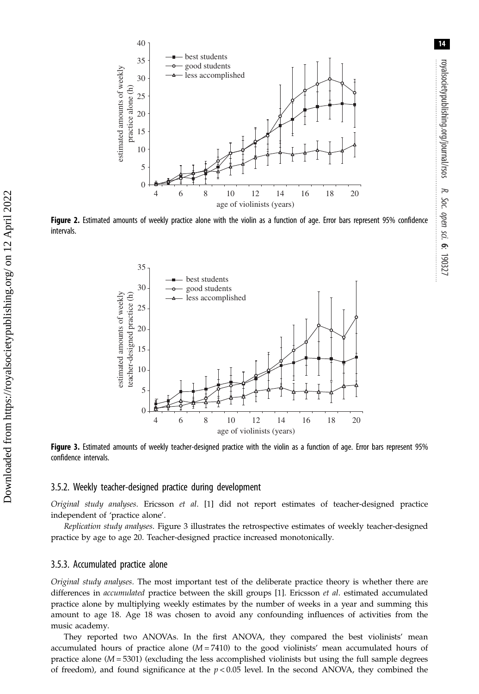<span id="page-13-0"></span>

Figure 2. Estimated amounts of weekly practice alone with the violin as a function of age. Error bars represent 95% confidence intervals.



Figure 3. Estimated amounts of weekly teacher-designed practice with the violin as a function of age. Error bars represent 95% confidence intervals.

#### 3.5.2. Weekly teacher-designed practice during development

Original study analyses. Ericsson et al. [\[1\]](#page-17-0) did not report estimates of teacher-designed practice independent of 'practice alone'.

Replication study analyses. Figure 3 illustrates the retrospective estimates of weekly teacher-designed practice by age to age 20. Teacher-designed practice increased monotonically.

## 3.5.3. Accumulated practice alone

Original study analyses. The most important test of the deliberate practice theory is whether there are differences in *accumulated* practice between the skill groups [[1](#page-17-0)]. Ericsson *et al.* estimated accumulated practice alone by multiplying weekly estimates by the number of weeks in a year and summing this amount to age 18. Age 18 was chosen to avoid any confounding influences of activities from the music academy.

They reported two ANOVAs. In the first ANOVA, they compared the best violinists' mean accumulated hours of practice alone  $(M = 7410)$  to the good violinists' mean accumulated hours of practice alone  $(M = 5301)$  (excluding the less accomplished violinists but using the full sample degrees of freedom), and found significance at the  $p < 0.05$  level. In the second ANOVA, they combined the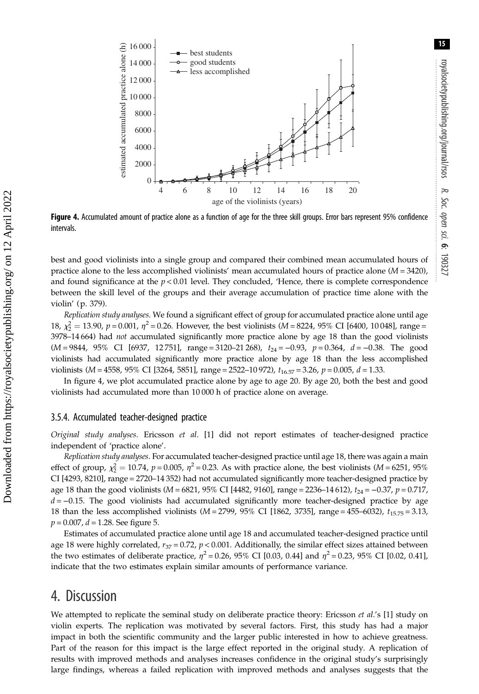

Figure 4. Accumulated amount of practice alone as a function of age for the three skill groups. Error bars represent 95% confidence intervals.

best and good violinists into a single group and compared their combined mean accumulated hours of practice alone to the less accomplished violinists' mean accumulated hours of practice alone  $(M = 3420)$ , and found significance at the  $p < 0.01$  level. They concluded, 'Hence, there is complete correspondence between the skill level of the groups and their average accumulation of practice time alone with the violin' (p. 379).

Replication study analyses. We found a significant effect of group for accumulated practice alone until age 18,  $\chi^2$  = 13.90, p = 0.001,  $\eta^2$  = 0.26. However, the best violinists (M = 8224, 95% CI [6400, 10 048], range = 3978-14 664) had not accumulated significantly more practice alone by age 18 than the good violinists  $(M = 9844, 95\% \text{ CI} [6937, 12751], \text{range} = 3120-21268, t_{24} = -0.93, p = 0.364, d = -0.38.$  The good violinists had accumulated significantly more practice alone by age 18 than the less accomplished violinists ( $M = 4558$ , 95% CI [3264, 5851], range = 2522-10 972),  $t_{16.57} = 3.26$ ,  $p = 0.005$ ,  $d = 1.33$ .

In figure 4, we plot accumulated practice alone by age to age 20. By age 20, both the best and good violinists had accumulated more than 10 000 h of practice alone on average.

## 3.5.4. Accumulated teacher-designed practice

Original study analyses. Ericsson et al. [\[1\]](#page-17-0) did not report estimates of teacher-designed practice independent of 'practice alone'.

Replication study analyses. For accumulated teacher-designed practice until age 18, there was again a main effect of group,  $\chi^2$  = 10.74, p = 0.005,  $\eta^2$  = 0.23. As with practice alone, the best violinists (*M* = 6251, 95% CI [4293, 8210], range = 2720–14 352) had not accumulated significantly more teacher-designed practice by age 18 than the good violinists (M = 6821, 95% CI [4482, 9160], range = 2236–14 612),  $t_{24} = -0.37$ ,  $p = 0.717$ ,  $d = -0.15$ . The good violinists had accumulated significantly more teacher-designed practice by age 18 than the less accomplished violinists  $(M = 2799, 95\%$  CI [1862, 3735], range = 455–6032),  $t_{15.75} = 3.13$ ,  $p = 0.007$ ,  $d = 1.28$ . See [figure 5](#page-15-0).

Estimates of accumulated practice alone until age 18 and accumulated teacher-designed practice until age 18 were highly correlated,  $r_{37} = 0.72$ ,  $p < 0.001$ . Additionally, the similar effect sizes attained between the two estimates of deliberate practice,  $\eta^2 = 0.26$ , 95% CI [0.03, 0.44] and  $\eta^2 = 0.23$ , 95% CI [0.02, 0.41], indicate that the two estimates explain similar amounts of performance variance.

## 4. Discussion

We attempted to replicate the seminal study on deliberate practice theory: Ericsson et al.'s [[1](#page-17-0)] study on violin experts. The replication was motivated by several factors. First, this study has had a major impact in both the scientific community and the larger public interested in how to achieve greatness. Part of the reason for this impact is the large effect reported in the original study. A replication of results with improved methods and analyses increases confidence in the original study's surprisingly large findings, whereas a failed replication with improved methods and analyses suggests that the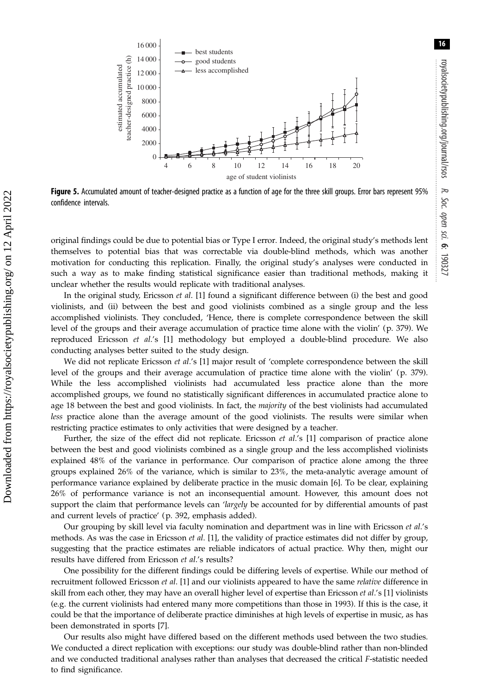<span id="page-15-0"></span>

Figure 5. Accumulated amount of teacher-designed practice as a function of age for the three skill groups. Error bars represent 95% confidence intervals.

original findings could be due to potential bias or Type I error. Indeed, the original study's methods lent themselves to potential bias that was correctable via double-blind methods, which was another motivation for conducting this replication. Finally, the original study's analyses were conducted in such a way as to make finding statistical significance easier than traditional methods, making it unclear whether the results would replicate with traditional analyses.

In the original study, Ericsson *et al.* [\[1\]](#page-17-0) found a significant difference between (i) the best and good violinists, and (ii) between the best and good violinists combined as a single group and the less accomplished violinists. They concluded, 'Hence, there is complete correspondence between the skill level of the groups and their average accumulation of practice time alone with the violin' (p. 379). We reproduced Ericsson et al.'s [\[1\]](#page-17-0) methodology but employed a double-blind procedure. We also conducting analyses better suited to the study design.

We did not replicate Ericsson et al.'s [\[1\]](#page-17-0) major result of 'complete correspondence between the skill level of the groups and their average accumulation of practice time alone with the violin' (p. 379). While the less accomplished violinists had accumulated less practice alone than the more accomplished groups, we found no statistically significant differences in accumulated practice alone to age 18 between the best and good violinists. In fact, the *majority* of the best violinists had accumulated less practice alone than the average amount of the good violinists. The results were similar when restricting practice estimates to only activities that were designed by a teacher.

Further, the size of the effect did not replicate. Ericsson *et al.'s* [[1](#page-17-0)] comparison of practice alone between the best and good violinists combined as a single group and the less accomplished violinists explained 48% of the variance in performance. Our comparison of practice alone among the three groups explained 26% of the variance, which is similar to 23%, the meta-analytic average amount of performance variance explained by deliberate practice in the music domain [[6](#page-18-0)]. To be clear, explaining 26% of performance variance is not an inconsequential amount. However, this amount does not support the claim that performance levels can 'largely be accounted for by differential amounts of past and current levels of practice' (p. 392, emphasis added).

Our grouping by skill level via faculty nomination and department was in line with Ericsson et al.'s methods. As was the case in Ericsson *et al.* [\[1\]](#page-17-0), the validity of practice estimates did not differ by group, suggesting that the practice estimates are reliable indicators of actual practice. Why then, might our results have differed from Ericsson et al.'s results?

One possibility for the different findings could be differing levels of expertise. While our method of recruitment followed Ericsson et al. [\[1\]](#page-17-0) and our violinists appeared to have the same relative difference in skill from each other, they may have an overall higher level of expertise than Ericsson et al.'s [\[1\]](#page-17-0) violinists (e.g. the current violinists had entered many more competitions than those in 1993). If this is the case, it could be that the importance of deliberate practice diminishes at high levels of expertise in music, as has been demonstrated in sports [[7](#page-18-0)].

Our results also might have differed based on the different methods used between the two studies. We conducted a direct replication with exceptions: our study was double-blind rather than non-blinded and we conducted traditional analyses rather than analyses that decreased the critical F-statistic needed to find significance.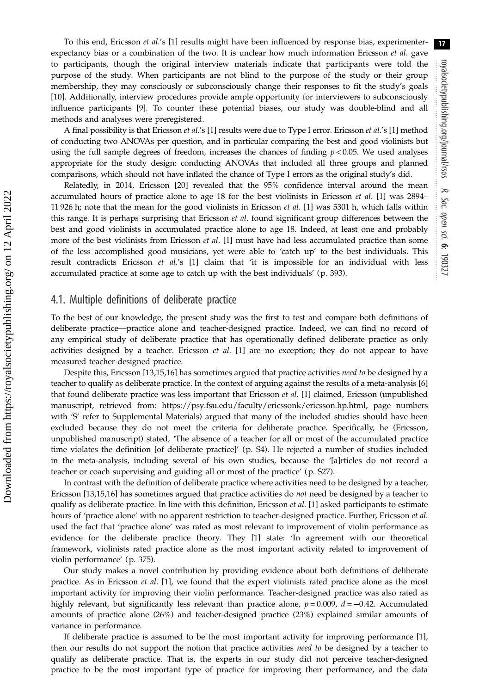To this end, Ericsson et al.'s [\[1\]](#page-17-0) results might have been influenced by response bias, experimenterexpectancy bias or a combination of the two. It is unclear how much information Ericsson et al. gave to participants, though the original interview materials indicate that participants were told the purpose of the study. When participants are not blind to the purpose of the study or their group membership, they may consciously or subconsciously change their responses to fit the study's goals [\[10](#page-18-0)]. Additionally, interview procedures provide ample opportunity for interviewers to subconsciously influence participants [[9](#page-18-0)]. To counter these potential biases, our study was double-blind and all methods and analyses were preregistered.

A final possibility is that Ericsson et al.'s [[1](#page-17-0)] results were due to Type I error. Ericsson et al.'s [1] method of conducting two ANOVAs per question, and in particular comparing the best and good violinists but using the full sample degrees of freedom, increases the chances of finding  $p < 0.05$ . We used analyses appropriate for the study design: conducting ANOVAs that included all three groups and planned comparisons, which should not have inflated the chance of Type I errors as the original study's did.

Relatedly, in 2014, Ericsson [\[20](#page-18-0)] revealed that the 95% confidence interval around the mean accumulated hours of practice alone to age 18 for the best violinists in Ericsson *et al.* [\[1\]](#page-17-0) was 2894– [1](#page-17-0)1 926 h; note that the mean for the good violinists in Ericsson et al. [1] was 5301 h, which falls within this range. It is perhaps surprising that Ericsson *et al.* found significant group differences between the best and good violinists in accumulated practice alone to age 18. Indeed, at least one and probably more of the best violinists from Ericsson *et al.* [\[1\]](#page-17-0) must have had less accumulated practice than some of the less accomplished good musicians, yet were able to 'catch up' to the best individuals. This result contradicts Ericsson et al.'s [\[1\]](#page-17-0) claim that 'it is impossible for an individual with less accumulated practice at some age to catch up with the best individuals' (p. 393).

## 4.1. Multiple definitions of deliberate practice

To the best of our knowledge, the present study was the first to test and compare both definitions of deliberate practice—practice alone and teacher-designed practice. Indeed, we can find no record of any empirical study of deliberate practice that has operationally defined deliberate practice as only activities designed by a teacher. Ericsson *et al.* [[1](#page-17-0)] are no exception; they do not appear to have measured teacher-designed practice.

Despite this, Ericsson [[13,15,16](#page-18-0)] has sometimes argued that practice activities need to be designed by a teacher to qualify as deliberate practice. In the context of arguing against the results of a meta-analysis [\[6\]](#page-18-0) that found deliberate practice was less important that Ericsson et al. [\[1\]](#page-17-0) claimed, Ericsson (unpublished manuscript, retrieved from: [https://psy.fsu.edu/faculty/ericssonk/ericsson.hp.html,](https://psy.fsu.edu/faculty/ericssonk/ericsson.hp.html) page numbers with 'S' refer to Supplemental Materials) argued that many of the included studies should have been excluded because they do not meet the criteria for deliberate practice. Specifically, he (Ericsson, unpublished manuscript) stated, 'The absence of a teacher for all or most of the accumulated practice time violates the definition [of deliberate practice]' (p. S4). He rejected a number of studies included in the meta-analysis, including several of his own studies, because the '[a]rticles do not record a teacher or coach supervising and guiding all or most of the practice' (p. S27).

In contrast with the definition of deliberate practice where activities need to be designed by a teacher, Ericsson [[13,15,16](#page-18-0)] has sometimes argued that practice activities do not need be designed by a teacher to qualify as deliberate practice. In line with this definition, Ericsson et al. [\[1\]](#page-17-0) asked participants to estimate hours of 'practice alone' with no apparent restriction to teacher-designed practice. Further, Ericsson et al. used the fact that 'practice alone' was rated as most relevant to improvement of violin performance as evidence for the deliberate practice theory. They [[1](#page-17-0)] state: 'In agreement with our theoretical framework, violinists rated practice alone as the most important activity related to improvement of violin performance' (p. 375).

Our study makes a novel contribution by providing evidence about both definitions of deliberate practice. As in Ericsson *et al.* [\[1\]](#page-17-0), we found that the expert violinists rated practice alone as the most important activity for improving their violin performance. Teacher-designed practice was also rated as highly relevant, but significantly less relevant than practice alone,  $p = 0.009$ ,  $d = -0.42$ . Accumulated amounts of practice alone (26%) and teacher-designed practice (23%) explained similar amounts of variance in performance.

If deliberate practice is assumed to be the most important activity for improving performance [[1](#page-17-0)], then our results do not support the notion that practice activities need to be designed by a teacher to qualify as deliberate practice. That is, the experts in our study did not perceive teacher-designed practice to be the most important type of practice for improving their performance, and the data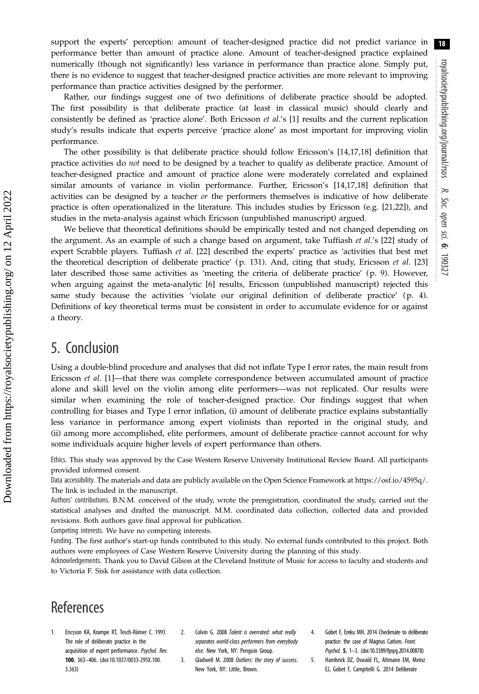<span id="page-17-0"></span>support the experts' perception: amount of teacher-designed practice did not predict variance in performance better than amount of practice alone. Amount of teacher-designed practice explained numerically (though not significantly) less variance in performance than practice alone. Simply put, there is no evidence to suggest that teacher-designed practice activities are more relevant to improving performance than practice activities designed by the performer.

Rather, our findings suggest one of two definitions of deliberate practice should be adopted. The first possibility is that deliberate practice (at least in classical music) should clearly and consistently be defined as 'practice alone'. Both Ericsson et al.'s [1] results and the current replication study's results indicate that experts perceive 'practice alone' as most important for improving violin performance.

The other possibility is that deliberate practice should follow Ericsson's [[14,17,18](#page-18-0)] definition that practice activities do not need to be designed by a teacher to qualify as deliberate practice. Amount of teacher-designed practice and amount of practice alone were moderately correlated and explained similar amounts of variance in violin performance. Further, Ericsson's [[14,17,18](#page-18-0)] definition that activities can be designed by a teacher or the performers themselves is indicative of how deliberate practice is often operationalized in the literature. This includes studies by Ericsson (e.g. [\[21](#page-18-0),[22\]](#page-18-0)), and studies in the meta-analysis against which Ericsson (unpublished manuscript) argued.

We believe that theoretical definitions should be empirically tested and not changed depending on the argument. As an example of such a change based on argument, take Tuffiash et al.'s [\[22](#page-18-0)] study of expert Scrabble players. Tuffiash et al. [\[22](#page-18-0)] described the experts' practice as 'activities that best met the theoretical description of deliberate practice' (p. 131). And, citing that study, Ericsson et al. [[23\]](#page-18-0) later described those same activities as 'meeting the criteria of deliberate practice' (p. 9). However, when arguing against the meta-analytic [\[6](#page-18-0)] results, Ericsson (unpublished manuscript) rejected this same study because the activities 'violate our original definition of deliberate practice' (p. 4). Definitions of key theoretical terms must be consistent in order to accumulate evidence for or against a theory.

## 5. Conclusion

Using a double-blind procedure and analyses that did not inflate Type I error rates, the main result from Ericsson et al. [1]—that there was complete correspondence between accumulated amount of practice alone and skill level on the violin among elite performers—was not replicated. Our results were similar when examining the role of teacher-designed practice. Our findings suggest that when controlling for biases and Type I error inflation, (i) amount of deliberate practice explains substantially less variance in performance among expert violinists than reported in the original study, and (ii) among more accomplished, elite performers, amount of deliberate practice cannot account for why some individuals acquire higher levels of expert performance than others.

Ethics. This study was approved by the Case Western Reserve University Institutional Review Board. All participants provided informed consent.

Data accessibility. The materials and data are publicly available on the Open Science Framework at [https://osf.io/4595q/.](https://osf.io/4595q/) The link is included in the manuscript.

Authors' contributions. B.N.M. conceived of the study, wrote the preregistration, coordinated the study, carried out the statistical analyses and drafted the manuscript. M.M. coordinated data collection, collected data and provided revisions. Both authors gave final approval for publication.

Competing interests. We have no competing interests.

Funding. The first author's start-up funds contributed to this study. No external funds contributed to this project. Both authors were employees of Case Western Reserve University during the planning of this study.

Acknowledgements. Thank you to David Gilson at the Cleveland Institute of Music for access to faculty and students and to Victoria F. Sisk for assistance with data collection.

## References

- 1. Ericsson KA, Krampe RT, Tesch-Römer C. 1993 The role of deliberate practice in the acquisition of expert performance. Psychol. Rev. 100, 363–406. ([doi:10.1037/0033-295X.100.](http://dx.doi.org/10.1037/0033-295X.100.3.363) [3.363\)](http://dx.doi.org/10.1037/0033-295X.100.3.363)
- 2. Colvin G. 2008 Talent is overrated: what really separates world-class performers from everybody else. New York, NY: Penguin Group.
- 3. Gladwell M. 2008 Outliers: the story of success. New York, NY: Little, Brown.
- 4. Gobet F, Ereku MH. 2014 Checkmate to deliberate practice: the case of Magnus Carlsen. Front. Psychol. 5, 1–3. [\(doi:10.3389/fpsyg.2014.00878](http://dx.doi.org/10.3389/fpsyg.2014.00878))
- 5. Hambrick DZ, Oswald FL, Altmann EM, Meinz EJ, Gobet F, Campitelli G. 2014 Deliberate